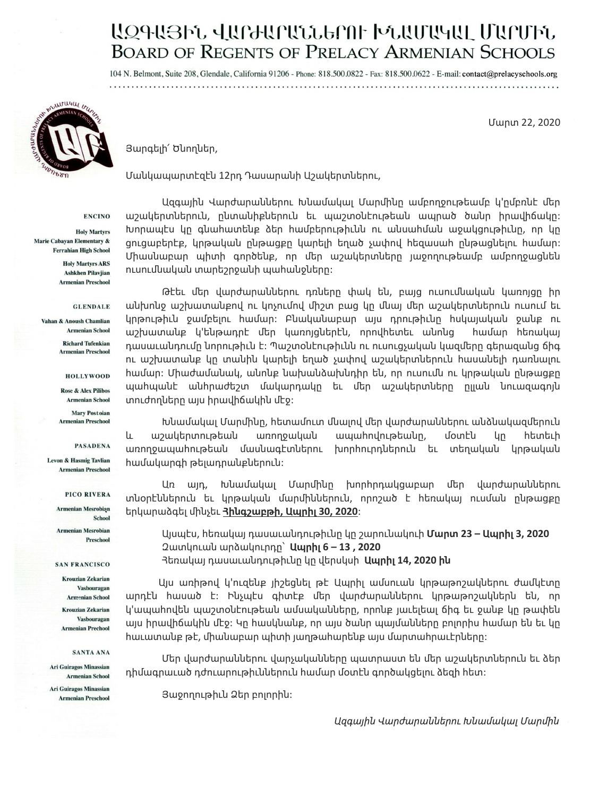# ԱԶԳԱՅԻՆ ՎԱՐԺԱՐԱՆՆԵՐՈԻ ԽՆԱՄԱԿԱԼ ՄԱՐՄԻՆ **BOARD OF REGENTS OF PRELACY ARMENIAN SCHOOLS**

104 N. Belmont, Suite 208, Glendale, California 91206 - Phone: 818.500.0822 - Fax: 818.500.0622 - E-mail: contact@prelacyschools.org 



Մարտ 22, 2020

Յարգելի՛ Ծնողներ,

Մանկապարտէզէն 12րդ Դասարանի Աշակերտներու,

**ENCINO** 

**Holy Martyrs** Marie Cabayan Elementary & **Ferrahian High School** 

> **Holy Martyrs ARS Ashkhen Pilavjian Armenian Preschool**

> > **GLENDALE**

Vahan & Anoush Chamlian **Armenian School** 

> **Richard Tufenkian Armenian Preschool**

> > **HOLLYWOOD**

**Rose & Alex Pilibos Armenian School** 

**Mary Postoian Armenian Preschool** 

**PASADENA** 

**Levon & Hasmig Tavlian Armenian Preschool** 

PICO RIVERA

**Armenian Mesrobian** School **Armenian Mesrobian** Preschool

**SAN FRANCISCO** 

**Krouzian Zekarian** Vasbouragan **Armenian School Krouzian Zekarian** 

Vasbouragan **Armenian Prechool** 

#### SANTA ANA

**Ari Guiragos Minassian Armenian School Ari Guiragos Minassian Armenian Preschool** 

Ազգային Վարժարաններու Խնամակալ Մարմինը ամբողջութեամբ կ'ըմբռնէ մեր աշակերտներուն, ընտանիքներուն եւ պաշտօնէութեան ապրած ծանր իրավիճակը: Խորապէս կը գնահատենք ձեր համբերութիւնն ու անսահման աջակցութիւնը, որ կը ցուցաբերէք, կրթական ընթացքը կարելի եղած չափով հեզասահ ընթացնելու համար: Միասնաբար պիտի գործենք, որ ﬔր աշակերտները յաջողութեամբ ամբողջացնեն ուսուﬓական տարեշրջանի պահանջները:

Թէեւ մեր վարժարաններու դռները փակ են, բայց ուսումնական կառոյցը իր անխոնջ աշխատանքով ու կոչումով միշտ բաց կը մնալ մեր աշակերտներուն ուսում եւ կրթութիւն ջամբելու համար: Բնականաբար այս դրութիւնը հսկայական ջանք ու աշխատանք կ'ենթադրէ ﬔր կառոյցներէն, որովհետեւ անոնց համար հեռակայ դասաւանդումը նորութիւն է։ Պաշտօնէութիւնն ու ուսուցչական կազմերը գերազանց ճիգ ու աշխատանք կը տանին կարելի եղած չափով աշակերտներուն հասանելի դառնալու համար: Միաժամակակ, անոնք նախանձախնդիր են, որ ուսումն ու կրթական ընթացքը պահպանէ անհրաժեշտ մակարդակը եւ մեր աշակերտները ըլլան նուազագոյն տուժողները այս իրավիճակին մէջ:

Խնամակալ Մարմինը, հետամուտ մնալով մեր վարժարաններու անձնակազմերուն և աշակերտութեան առողջական ապահովութեանը, մօտէն կը հետեւի առողջապահութեան մասնագէտներու խորհուրդներուն եւ տեղական կրթական համակարգի թելադրանքներուն:

Առ այդ, Խնամակալ Մարﬕնը խորհրդակցաբար ﬔր վարժարաններու տնօրէններուն եւ կրթական մարﬕններուն, որոշած է հեռակայ ուսման ընթացքը երկարաձգել ﬕնչեւ **Հինգշաբթի, Ապրիլ 30, 2020**:

Այսպէս, հեռակայ դասաւանդութիւնը կը շարունակուի **Մարտ 23 – Ապրիլ 3, 2020** Զատկուան արձակուրդը՝ **Ապրիլ 6 – 13 , 2020** Հեռակայ դասաւանդութիւնը կը վերսկսի **Ապրիլ 14, 2020 ին** 

 Այս առիթով կ'ուզենք յիշեցնել թէ Ապրիլ ամսուան կրթաթոշակներու ժամկէտը արդէն հասած է: Ինչպէս գիտէք ﬔր վարժարաններու կրթաթոշակներն են, որ կ'ապահովեն պաշտօնէութեան ամսականները, որոնք յաւելեալ ճիգ եւ ջանք կը թափեն այս իրավիճակին մէջ: Կը hասկնանք, որ այս ծանր պայմանները բոլորիս համար են եւ կը հաւատանք թէ, ﬕանաբար պիտի յաղթահարենք այս մարտահրաւէրները:

Մեր վարժարաններու վարչականները պատրաստ են ﬔր աշակերտներուն եւ ձեր դիմագրաւած դժուարութիւններուն համար մօտէն գործակցելու ձեզի հետ:

Յաջողութիւն Ձեր բոլորին:

 *Ազգային Վարժարաններու Խնամակալ Մարﬕն*